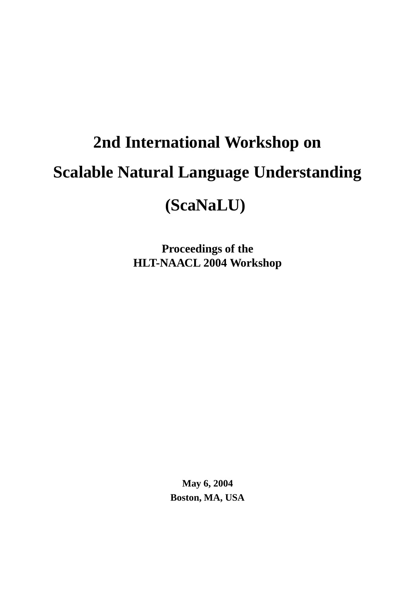# **2nd International Workshop on Scalable Natural Language Understanding (ScaNaLU)**

**Proceedings of the HLT-NAACL 2004 Workshop**

> **May 6, 2004 Boston, MA, USA**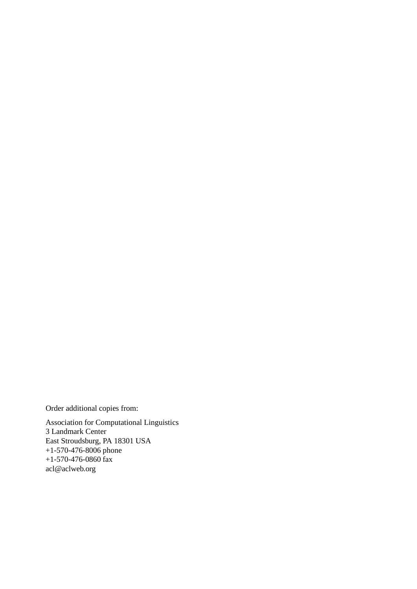Order additional copies from:

Association for Computational Linguistics 3 Landmark Center East Stroudsburg, PA 18301 USA +1-570-476-8006 phone +1-570-476-0860 fax  $\operatorname{acl} @ \operatorname{aclweb.org}$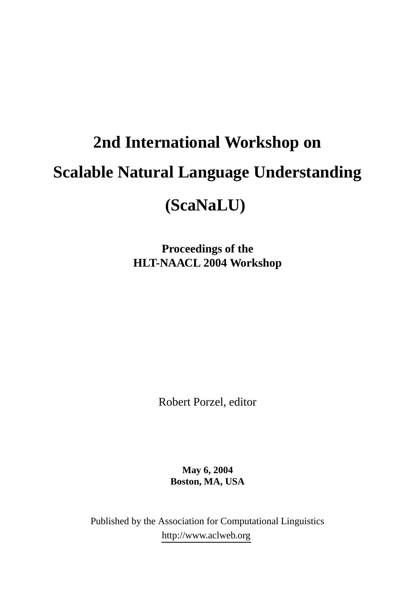# **2nd International Workshop on Scalable Natural Language Understanding (ScaNaLU)**

**Proceedings of the HLT-NAACL 2004 Workshop**

Robert Porzel, editor

**May 6, 2004 Boston, MA, USA**

Published by the Association for Computational Linguistics http://www.aclweb.org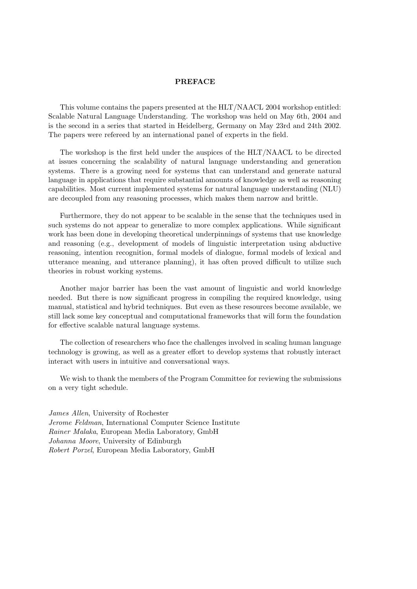#### PREFACE

This volume contains the papers presented at the HLT/NAACL 2004 workshop entitled: Scalable Natural Language Understanding. The workshop was held on May 6th, 2004 and is the second in a series that started in Heidelberg, Germany on May 23rd and 24th 2002. The papers were refereed by an international panel of experts in the field.

The workshop is the first held under the auspices of the HLT/NAACL to be directed at issues concerning the scalability of natural language understanding and generation systems. There is a growing need for systems that can understand and generate natural language in applications that require substantial amounts of knowledge as well as reasoning capabilities. Most current implemented systems for natural language understanding (NLU) are decoupled from any reasoning processes, which makes them narrow and brittle.

Furthermore, they do not appear to be scalable in the sense that the techniques used in such systems do not appear to generalize to more complex applications. While significant work has been done in developing theoretical underpinnings of systems that use knowledge and reasoning (e.g., development of models of linguistic interpretation using abductive reasoning, intention recognition, formal models of dialogue, formal models of lexical and utterance meaning, and utterance planning), it has often proved difficult to utilize such theories in robust working systems.

Another major barrier has been the vast amount of linguistic and world knowledge needed. But there is now significant progress in compiling the required knowledge, using manual, statistical and hybrid techniques. But even as these resources become available, we still lack some key conceptual and computational frameworks that will form the foundation for effective scalable natural language systems.

The collection of researchers who face the challenges involved in scaling human language technology is growing, as well as a greater effort to develop systems that robustly interact interact with users in intuitive and conversational ways.

We wish to thank the members of the Program Committee for reviewing the submissions on a very tight schedule.

James Allen, University of Rochester Jerome Feldman, International Computer Science Institute Rainer Malaka, European Media Laboratory, GmbH Johanna Moore, University of Edinburgh Robert Porzel, European Media Laboratory, GmbH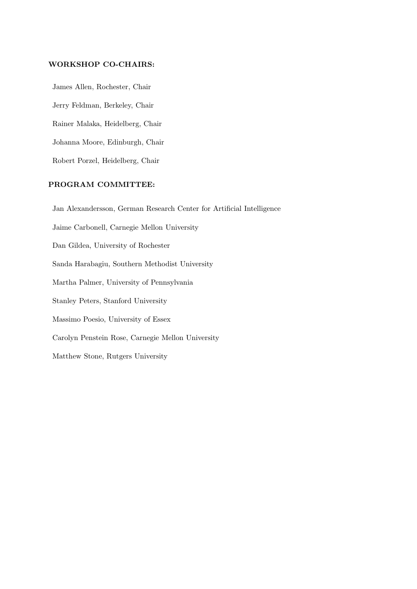#### WORKSHOP CO-CHAIRS:

James Allen, Rochester, Chair Jerry Feldman, Berkeley, Chair Rainer Malaka, Heidelberg, Chair Johanna Moore, Edinburgh, Chair Robert Porzel, Heidelberg, Chair

#### PROGRAM COMMITTEE:

Jan Alexandersson, German Research Center for Artificial Intelligence Jaime Carbonell, Carnegie Mellon University Dan Gildea, University of Rochester Sanda Harabagiu, Southern Methodist University Martha Palmer, University of Pennsylvania Stanley Peters, Stanford University Massimo Poesio, University of Essex Carolyn Penstein Rose, Carnegie Mellon University Matthew Stone, Rutgers University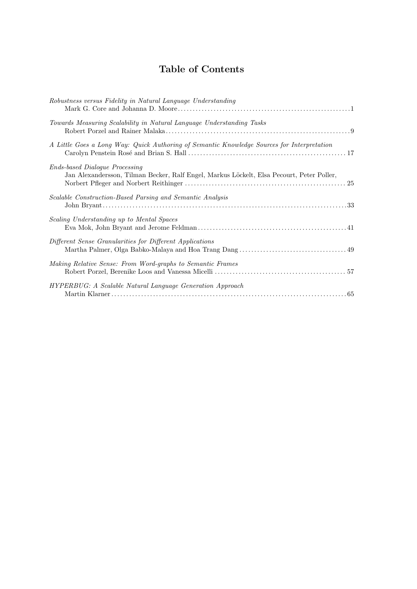## Table of Contents

| Robustness versus Fidelity in Natural Language Understanding                                                                       |  |
|------------------------------------------------------------------------------------------------------------------------------------|--|
| Towards Measuring Scalability in Natural Language Understanding Tasks                                                              |  |
| A Little Goes a Long Way: Quick Authoring of Semantic Knowledge Sources for Interpretation                                         |  |
| <b>Ends-based Dialogue Processing</b><br>Jan Alexandersson, Tilman Becker, Ralf Engel, Markus Löckelt, Elsa Pecourt, Peter Poller, |  |
| Scalable Construction-Based Parsing and Semantic Analysis                                                                          |  |
| Scaling Understanding up to Mental Spaces                                                                                          |  |
| Different Sense Granularities for Different Applications                                                                           |  |
| Making Relative Sense: From Word-graphs to Semantic Frames                                                                         |  |
| <b>HYPERBUG:</b> A Scalable Natural Language Generation Approach                                                                   |  |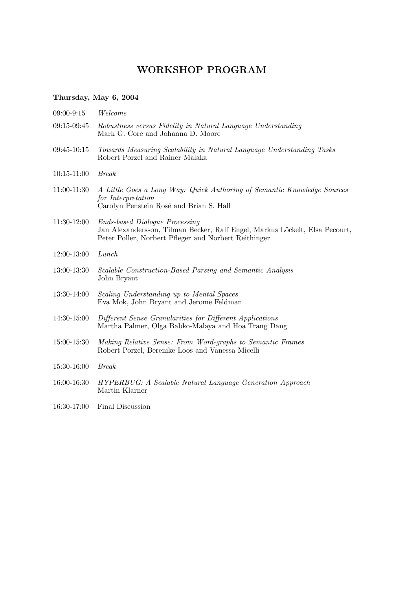## WORKSHOP PROGRAM

### Thursday, May 6, 2004

| 09:00-9:15      | Welcome                                                                                                                                                                      |
|-----------------|------------------------------------------------------------------------------------------------------------------------------------------------------------------------------|
| 09:15-09:45     | Robustness versus Fidelity in Natural Language Understanding<br>Mark G. Core and Johanna D. Moore                                                                            |
| $09:45-10:15$   | Towards Measuring Scalability in Natural Language Understanding Tasks<br>Robert Porzel and Rainer Malaka                                                                     |
| $10:15 - 11:00$ | <b>Break</b>                                                                                                                                                                 |
| 11:00-11:30     | A Little Goes a Long Way: Quick Authoring of Semantic Knowledge Sources<br>for Interpretation<br>Carolyn Penstein Rosé and Brian S. Hall                                     |
| $11:30-12:00$   | <b>Ends-based Dialogue Processing</b><br>Jan Alexandersson, Tilman Becker, Ralf Engel, Markus Löckelt, Elsa Pecourt,<br>Peter Poller, Norbert Pfleger and Norbert Reithinger |
| 12:00-13:00     | Lunch                                                                                                                                                                        |
| 13:00-13:30     | Scalable Construction-Based Parsing and Semantic Analysis<br>John Bryant                                                                                                     |
| 13:30-14:00     | Scaling Understanding up to Mental Spaces<br>Eva Mok, John Bryant and Jerome Feldman                                                                                         |
| 14:30-15:00     | Different Sense Granularities for Different Applications<br>Martha Palmer, Olga Babko-Malaya and Hoa Trang Dang                                                              |
| 15:00-15:30     | Making Relative Sense: From Word-graphs to Semantic Frames<br>Robert Porzel, Berenike Loos and Vanessa Micelli                                                               |
| 15:30-16:00     | <b>Break</b>                                                                                                                                                                 |
| 16:00-16:30     | <b>HYPERBUG:</b> A Scalable Natural Language Generation Approach<br>Martin Klarner                                                                                           |
| 16:30-17:00     | Final Discussion                                                                                                                                                             |
|                 |                                                                                                                                                                              |